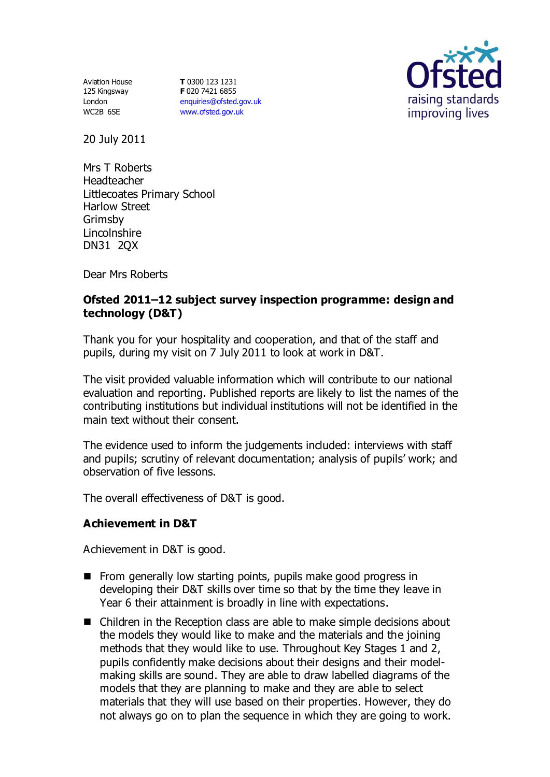Aviation House 125 Kingsway London WC2B 6SE

**T** 0300 123 1231 **F** 020 7421 6855 [enquiries@ofsted.gov.uk](mailto:enquiries@ofsted.gov.uk) [www.ofsted.gov.uk](http://www.ofsted.gov.uk/)



20 July 2011

Mrs T Roberts Headteacher Littlecoates Primary School Harlow Street Grimsby Lincolnshire DN31 2QX

Dear Mrs Roberts

## **Ofsted 2011–12 subject survey inspection programme: design and technology (D&T)**

Thank you for your hospitality and cooperation, and that of the staff and pupils, during my visit on 7 July 2011 to look at work in D&T.

The visit provided valuable information which will contribute to our national evaluation and reporting. Published reports are likely to list the names of the contributing institutions but individual institutions will not be identified in the main text without their consent.

The evidence used to inform the judgements included: interviews with staff and pupils; scrutiny of relevant documentation; analysis of pupils' work; and observation of five lessons.

The overall effectiveness of D&T is good.

### **Achievement in D&T**

Achievement in D&T is good.

- **From generally low starting points, pupils make good progress in** developing their D&T skills over time so that by the time they leave in Year 6 their attainment is broadly in line with expectations.
- Children in the Reception class are able to make simple decisions about the models they would like to make and the materials and the joining methods that they would like to use. Throughout Key Stages 1 and 2, pupils confidently make decisions about their designs and their modelmaking skills are sound. They are able to draw labelled diagrams of the models that they are planning to make and they are able to select materials that they will use based on their properties. However, they do not always go on to plan the sequence in which they are going to work.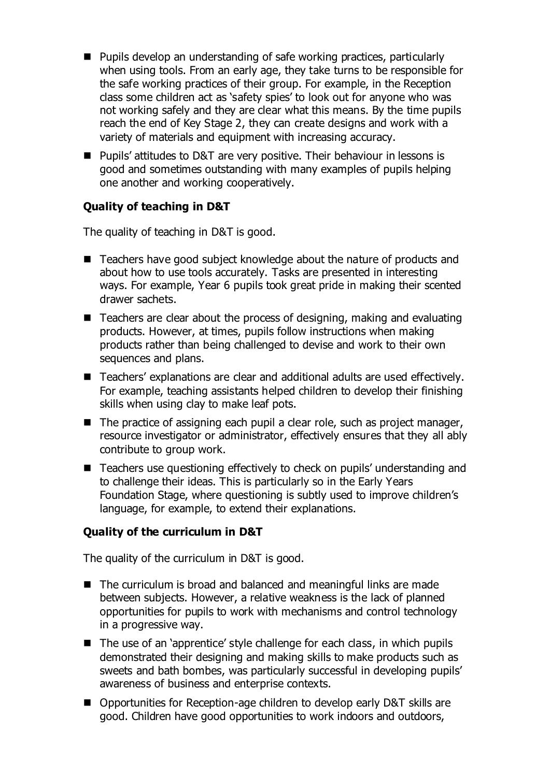- Pupils develop an understanding of safe working practices, particularly when using tools. From an early age, they take turns to be responsible for the safe working practices of their group. For example, in the Reception class some children act as 'safety spies' to look out for anyone who was not working safely and they are clear what this means. By the time pupils reach the end of Key Stage 2, they can create designs and work with a variety of materials and equipment with increasing accuracy.
- Pupils' attitudes to D&T are very positive. Their behaviour in lessons is good and sometimes outstanding with many examples of pupils helping one another and working cooperatively.

# **Quality of teaching in D&T**

The quality of teaching in D&T is good.

- Teachers have good subject knowledge about the nature of products and about how to use tools accurately. Tasks are presented in interesting ways. For example, Year 6 pupils took great pride in making their scented drawer sachets.
- Teachers are clear about the process of designing, making and evaluating products. However, at times, pupils follow instructions when making products rather than being challenged to devise and work to their own sequences and plans.
- Teachers' explanations are clear and additional adults are used effectively. For example, teaching assistants helped children to develop their finishing skills when using clay to make leaf pots.
- $\blacksquare$  The practice of assigning each pupil a clear role, such as project manager, resource investigator or administrator, effectively ensures that they all ably contribute to group work.
- Teachers use questioning effectively to check on pupils' understanding and to challenge their ideas. This is particularly so in the Early Years Foundation Stage, where questioning is subtly used to improve children's language, for example, to extend their explanations.

### **Quality of the curriculum in D&T**

The quality of the curriculum in D&T is good.

- The curriculum is broad and balanced and meaningful links are made between subjects. However, a relative weakness is the lack of planned opportunities for pupils to work with mechanisms and control technology in a progressive way.
- $\blacksquare$  The use of an 'apprentice' style challenge for each class, in which pupils demonstrated their designing and making skills to make products such as sweets and bath bombes, was particularly successful in developing pupils' awareness of business and enterprise contexts.
- Opportunities for Reception-age children to develop early D&T skills are good. Children have good opportunities to work indoors and outdoors,